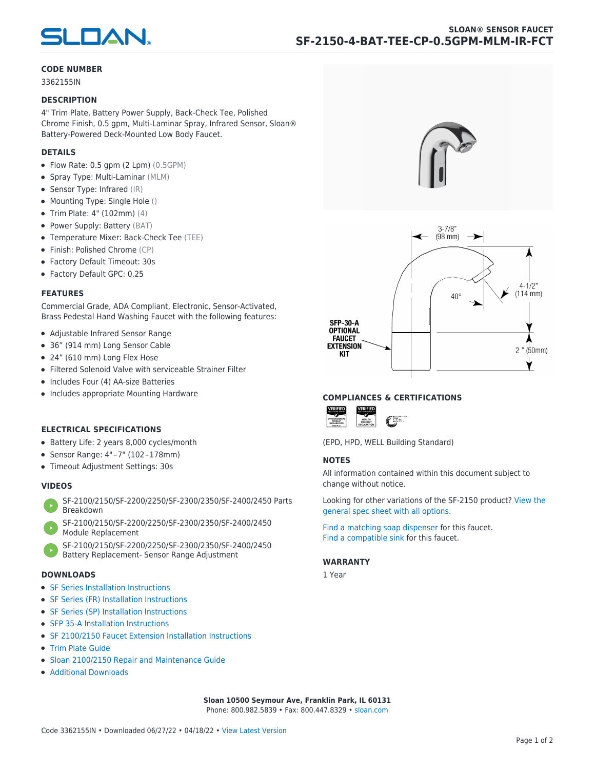

### **CODE NUMBER**

3362155IN

#### **DESCRIPTION**

4" Trim Plate, Battery Power Supply, Back-Check Tee, Polished Chrome Finish, 0.5 gpm, Multi-Laminar Spray, Infrared Sensor, Sloan® Battery-Powered Deck-Mounted Low Body Faucet.

## **DETAILS**

- Flow Rate: 0.5 gpm (2 Lpm) (0.5GPM)
- Spray Type: Multi-Laminar (MLM)
- Sensor Type: Infrared (IR)
- Mounting Type: Single Hole ()
- Trim Plate: 4" (102mm) (4)
- Power Supply: Battery (BAT)
- Temperature Mixer: Back-Check Tee (TEE)
- Finish: Polished Chrome (CP)
- Factory Default Timeout: 30s
- Factory Default GPC: 0.25

### **FEATURES**

Commercial Grade, ADA Compliant, Electronic, Sensor-Activated, Brass Pedestal Hand Washing Faucet with the following features:

- Adjustable Infrared Sensor Range
- 36" (914 mm) Long Sensor Cable
- 24" (610 mm) Long Flex Hose
- Filtered Solenoid Valve with serviceable Strainer Filter
- Includes Four (4) AA-size Batteries
- Includes appropriate Mounting Hardware

# **ELECTRICAL SPECIFICATIONS**

- Battery Life: 2 years 8,000 cycles/month
- Sensor Range: 4" – 7" (102 – 178mm)
- Timeout Adjustment Settings: 30s

# **VIDEOS**

- [SF-2100/2150/SF-2200/2250/SF-2300/2350/SF-2400/2450 Parts](https://vimeo.com/307089947) [Breakdown](https://vimeo.com/307089947)
- [SF-2100/2150/SF-2200/2250/SF-2300/2350/SF-2400/2450](https://vimeo.com/307087494) [Module Replacement](https://vimeo.com/307087494)
- [SF-2100/2150/SF-2200/2250/SF-2300/2350/SF-2400/2450](https://vimeo.com/307085279) [Battery Replacement- Sensor Range Adjustment](https://vimeo.com/307085279)

#### **DOWNLOADS**

- [SF Series Installation Instructions](https://en.sloan.com/sites/default/files/2018-02/II0816496Rev5_0.pdf)
- [SF Series \(FR\) Installation Instructions](https://en.sloan.com/sites/default/files/2015-12/0816563-fr.pdf)
- [SF Series \(SP\) Installation Instructions](https://en.sloan.com/sites/default/files/2022-03/0816568SP_Rev2.pdf)
- [SFP 35-A Installation Instructions](https://en.sloan.com/sites/default/files/2015-12/0816817.pdf)
- [SF 2100/2150 Faucet Extension Installation Instructions](https://en.sloan.com/sites/default/files/2015-12/0816736.pdf)
- [Trim Plate Guide](https://en.sloan.com/sites/default/files/2020-03/Trim_PlatesAllFaucets.pdf)
- [Sloan 2100/2150 Repair and Maintenance Guide](https://en.sloan.com/sites/default/files/2022-06/Sloan-SF-2100-2150.pdf)
- [Additional Downloads](https://en.sloan.com/commercial-bathroom-products/faucets/sloan/sf-2150)





### **COMPLIANCES & CERTIFICATIONS**



(EPD, HPD, WELL Building Standard)

## **NOTES**

All information contained within this document subject to change without notice.

[Looking for other variations of the SF-2150 product? View the](https://en.sloan.com/general-spec/436) [general spec sheet with all options.](https://en.sloan.com/general-spec/436)

[Find a matching soap dispenser](https://en.sloan.com/commercial-bathroom-products/soap-dispensers) for this faucet. [Find a compatible sink](https://en.sloan.com/commercial-bathroom-products/sinks) for this faucet.

#### **WARRANTY**

1 Year

**Sloan 10500 Seymour Ave, Franklin Park, IL 60131** Phone: 800.982.5839 • Fax: 800.447.8329 • [sloan.com](https://www.sloan.com)